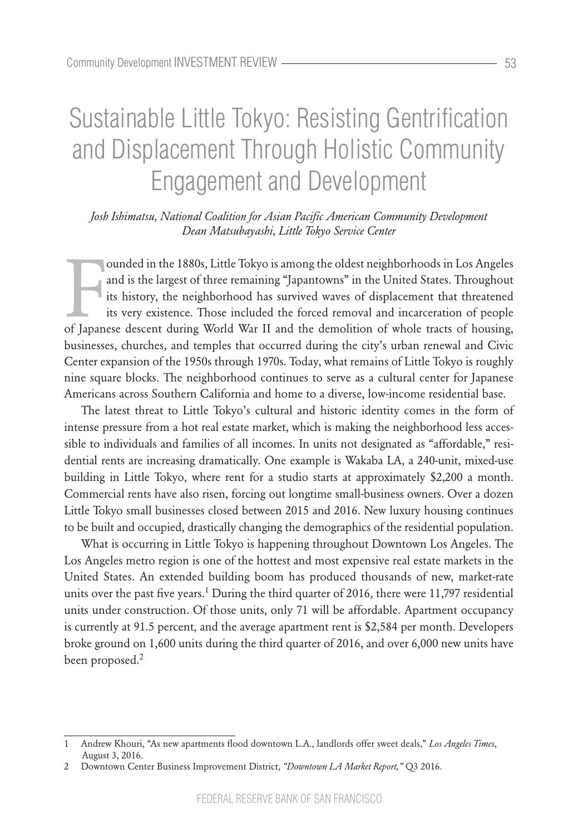# Sustainable Little Tokyo: Resisting Gentrification and Displacement Through Holistic Community Engagement and Development

## *Josh Ishimatsu, National Coalition for Asian Pacific American Community Development Dean Matsubayashi, Little Tokyo Service Center*

ounded in the 1880s, Little Tokyo is among the oldest neighborhoods in Los Angeles<br>and is the largest of three remaining "Japantowns" in the United States. Throughout<br>its history, the neighborhood has survived waves of dis ounded in the 1880s, Little Tokyo is among the oldest neighborhoods in Los Angeles and is the largest of three remaining "Japantowns" in the United States. Throughout its history, the neighborhood has survived waves of displacement that threatened its very existence. Those included the forced removal and incarceration of people businesses, churches, and temples that occurred during the city's urban renewal and Civic Center expansion of the 1950s through 1970s. Today, what remains of Little Tokyo is roughly nine square blocks. The neighborhood continues to serve as a cultural center for Japanese Americans across Southern California and home to a diverse, low-income residential base.

The latest threat to Little Tokyo's cultural and historic identity comes in the form of intense pressure from a hot real estate market, which is making the neighborhood less accessible to individuals and families of all incomes. In units not designated as "affordable," residential rents are increasing dramatically. One example is Wakaba LA, a 240-unit, mixed-use building in Little Tokyo, where rent for a studio starts at approximately \$2,200 a month. Commercial rents have also risen, forcing out longtime small-business owners. Over a dozen Little Tokyo small businesses closed between 2015 and 2016. New luxury housing continues to be built and occupied, drastically changing the demographics of the residential population.

What is occurring in Little Tokyo is happening throughout Downtown Los Angeles. The Los Angeles metro region is one of the hottest and most expensive real estate markets in the United States. An extended building boom has produced thousands of new, market-rate units over the past five years.<sup>1</sup> During the third quarter of 2016, there were 11,797 residential units under construction. Of those units, only 71 will be affordable. Apartment occupancy is currently at 91.5 percent, and the average apartment rent is \$2,584 per month. Developers broke ground on 1,600 units during the third quarter of 2016, and over 6,000 new units have been proposed.<sup>2</sup>

<sup>1</sup> Andrew Khouri, "As new apartments flood downtown L.A., landlords offer sweet deals," *Los Angeles Times*, August 3, 2016.

<sup>2</sup> Downtown Center Business Improvement District, *"Downtown LA Market Report,"* Q3 2016.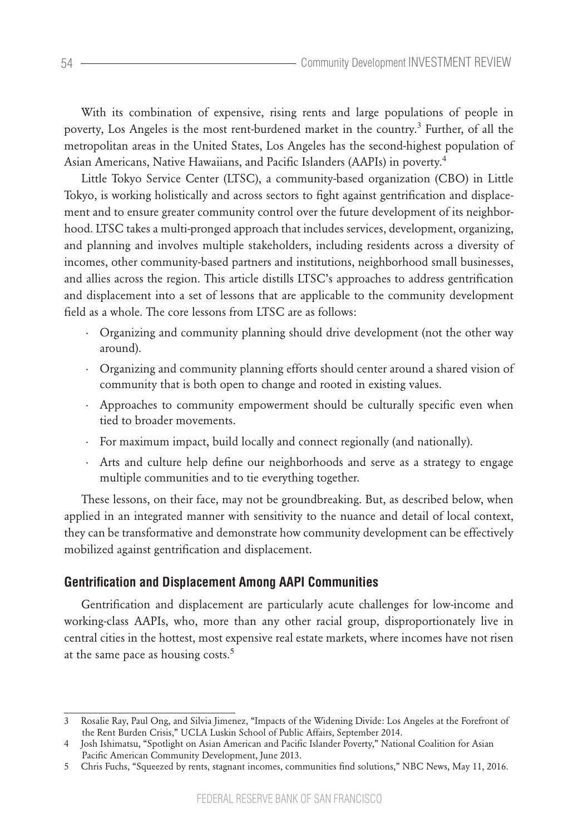With its combination of expensive, rising rents and large populations of people in poverty, Los Angeles is the most rent-burdened market in the country.<sup>3</sup> Further, of all the metropolitan areas in the United States, Los Angeles has the second-highest population of Asian Americans, Native Hawaiians, and Pacific Islanders (AAPIs) in poverty.<sup>4</sup>

Little Tokyo Service Center (LTSC), a community-based organization (CBO) in Little Tokyo, is working holistically and across sectors to fight against gentrification and displacement and to ensure greater community control over the future development of its neighborhood. LTSC takes a multi-pronged approach that includes services, development, organizing, and planning and involves multiple stakeholders, including residents across a diversity of incomes, other community-based partners and institutions, neighborhood small businesses, and allies across the region. This article distills LTSC's approaches to address gentrification and displacement into a set of lessons that are applicable to the community development field as a whole. The core lessons from LTSC are as follows:

- · Organizing and community planning should drive development (not the other way around).
- · Organizing and community planning efforts should center around a shared vision of community that is both open to change and rooted in existing values.
- · Approaches to community empowerment should be culturally specific even when tied to broader movements.
- · For maximum impact, build locally and connect regionally (and nationally).
- · Arts and culture help define our neighborhoods and serve as a strategy to engage multiple communities and to tie everything together.

These lessons, on their face, may not be groundbreaking. But, as described below, when applied in an integrated manner with sensitivity to the nuance and detail of local context, they can be transformative and demonstrate how community development can be effectively mobilized against gentrification and displacement.

# **Gentrification and Displacement Among AAPI Communities**

Gentrification and displacement are particularly acute challenges for low-income and working-class AAPIs, who, more than any other racial group, disproportionately live in central cities in the hottest, most expensive real estate markets, where incomes have not risen at the same pace as housing costs.<sup>5</sup>

<sup>3</sup> Rosalie Ray, Paul Ong, and Silvia Jimenez, "Impacts of the Widening Divide: Los Angeles at the Forefront of the Rent Burden Crisis," UCLA Luskin School of Public Affairs, September 2014.

<sup>4</sup> Josh Ishimatsu, "Spotlight on Asian American and Pacific Islander Poverty," National Coalition for Asian Pacific American Community Development, June 2013.

<sup>5</sup> Chris Fuchs, "Squeezed by rents, stagnant incomes, communities find solutions," NBC News, May 11, 2016.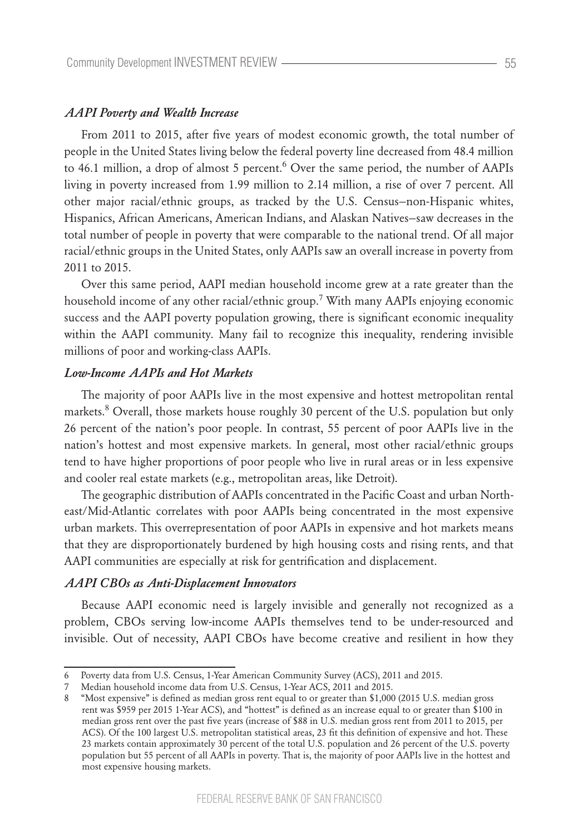## *AAPI Poverty and Wealth Increase*

From 2011 to 2015, after five years of modest economic growth, the total number of people in the United States living below the federal poverty line decreased from 48.4 million to 46.1 million, a drop of almost 5 percent.<sup>6</sup> Over the same period, the number of AAPIs living in poverty increased from 1.99 million to 2.14 million, a rise of over 7 percent. All other major racial/ethnic groups, as tracked by the U.S. Census—non-Hispanic whites, Hispanics, African Americans, American Indians, and Alaskan Natives—saw decreases in the total number of people in poverty that were comparable to the national trend. Of all major racial/ethnic groups in the United States, only AAPIs saw an overall increase in poverty from 2011 to 2015.

Over this same period, AAPI median household income grew at a rate greater than the household income of any other racial/ethnic group.<sup>7</sup> With many AAPIs enjoying economic success and the AAPI poverty population growing, there is significant economic inequality within the AAPI community. Many fail to recognize this inequality, rendering invisible millions of poor and working-class AAPIs.

## *Low-Income AAPIs and Hot Markets*

The majority of poor AAPIs live in the most expensive and hottest metropolitan rental markets.<sup>8</sup> Overall, those markets house roughly 30 percent of the U.S. population but only 26 percent of the nation's poor people. In contrast, 55 percent of poor AAPIs live in the nation's hottest and most expensive markets. In general, most other racial/ethnic groups tend to have higher proportions of poor people who live in rural areas or in less expensive and cooler real estate markets (e.g., metropolitan areas, like Detroit).

The geographic distribution of AAPIs concentrated in the Pacific Coast and urban Northeast/Mid-Atlantic correlates with poor AAPIs being concentrated in the most expensive urban markets. This overrepresentation of poor AAPIs in expensive and hot markets means that they are disproportionately burdened by high housing costs and rising rents, and that AAPI communities are especially at risk for gentrification and displacement.

## *AAPI CBOs as Anti-Displacement Innovators*

Because AAPI economic need is largely invisible and generally not recognized as a problem, CBOs serving low-income AAPIs themselves tend to be under-resourced and invisible. Out of necessity, AAPI CBOs have become creative and resilient in how they

<sup>6</sup> Poverty data from U.S. Census, 1-Year American Community Survey (ACS), 2011 and 2015.

<sup>7</sup> Median household income data from U.S. Census, 1-Year ACS, 2011 and 2015.

<sup>8 &</sup>quot;Most expensive" is defined as median gross rent equal to or greater than \$1,000 (2015 U.S. median gross rent was \$959 per 2015 1-Year ACS), and "hottest" is defined as an increase equal to or greater than \$100 in median gross rent over the past five years (increase of \$88 in U.S. median gross rent from 2011 to 2015, per ACS). Of the 100 largest U.S. metropolitan statistical areas, 23 fit this definition of expensive and hot. These 23 markets contain approximately 30 percent of the total U.S. population and 26 percent of the U.S. poverty population but 55 percent of all AAPIs in poverty. That is, the majority of poor AAPIs live in the hottest and most expensive housing markets.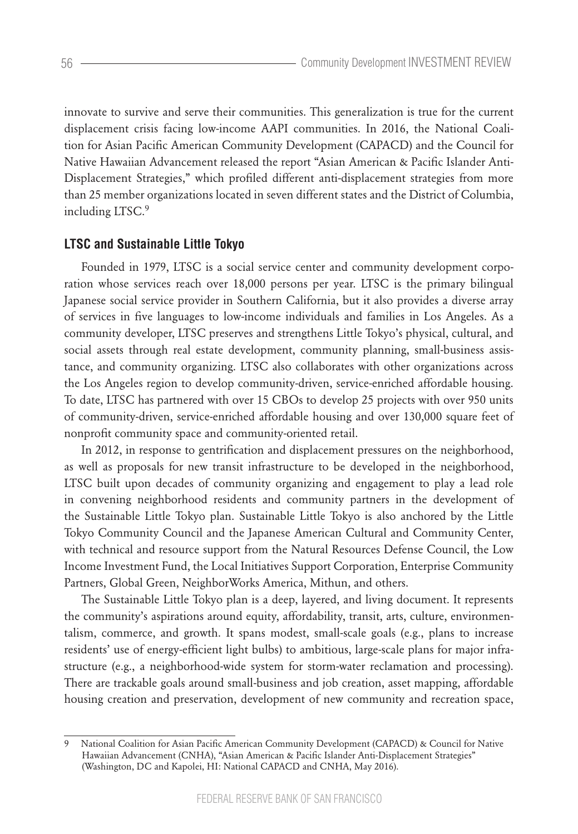innovate to survive and serve their communities. This generalization is true for the current displacement crisis facing low-income AAPI communities. In 2016, the National Coalition for Asian Pacific American Community Development (CAPACD) and the Council for Native Hawaiian Advancement released the report "Asian American & Pacific Islander Anti-Displacement Strategies," which profiled different anti-displacement strategies from more than 25 member organizations located in seven different states and the District of Columbia, including LTSC.<sup>9</sup>

## **LTSC and Sustainable Little Tokyo**

Founded in 1979, LTSC is a social service center and community development corporation whose services reach over 18,000 persons per year. LTSC is the primary bilingual Japanese social service provider in Southern California, but it also provides a diverse array of services in five languages to low-income individuals and families in Los Angeles. As a community developer, LTSC preserves and strengthens Little Tokyo's physical, cultural, and social assets through real estate development, community planning, small-business assistance, and community organizing. LTSC also collaborates with other organizations across the Los Angeles region to develop community-driven, service-enriched affordable housing. To date, LTSC has partnered with over 15 CBOs to develop 25 projects with over 950 units of community-driven, service-enriched affordable housing and over 130,000 square feet of nonprofit community space and community-oriented retail.

In 2012, in response to gentrification and displacement pressures on the neighborhood, as well as proposals for new transit infrastructure to be developed in the neighborhood, LTSC built upon decades of community organizing and engagement to play a lead role in convening neighborhood residents and community partners in the development of the Sustainable Little Tokyo plan. Sustainable Little Tokyo is also anchored by the Little Tokyo Community Council and the Japanese American Cultural and Community Center, with technical and resource support from the Natural Resources Defense Council, the Low Income Investment Fund, the Local Initiatives Support Corporation, Enterprise Community Partners, Global Green, NeighborWorks America, Mithun, and others.

The Sustainable Little Tokyo plan is a deep, layered, and living document. It represents the community's aspirations around equity, affordability, transit, arts, culture, environmentalism, commerce, and growth. It spans modest, small-scale goals (e.g., plans to increase residents' use of energy-efficient light bulbs) to ambitious, large-scale plans for major infrastructure (e.g., a neighborhood-wide system for storm-water reclamation and processing). There are trackable goals around small-business and job creation, asset mapping, affordable housing creation and preservation, development of new community and recreation space,

<sup>9</sup> National Coalition for Asian Pacific American Community Development (CAPACD) & Council for Native Hawaiian Advancement (CNHA), "Asian American & Pacific Islander Anti-Displacement Strategies" (Washington, DC and Kapolei, HI: National CAPACD and CNHA, May 2016).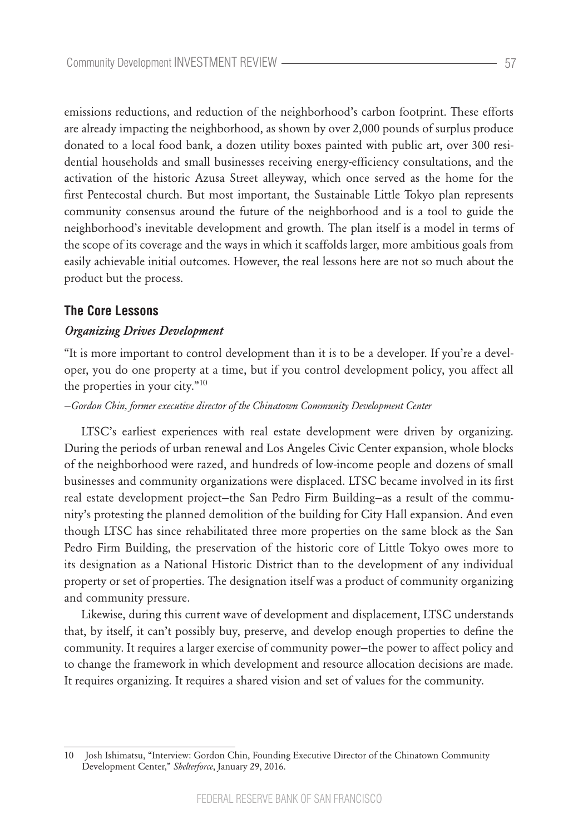emissions reductions, and reduction of the neighborhood's carbon footprint. These efforts are already impacting the neighborhood, as shown by over 2,000 pounds of surplus produce donated to a local food bank, a dozen utility boxes painted with public art, over 300 residential households and small businesses receiving energy-efficiency consultations, and the activation of the historic Azusa Street alleyway, which once served as the home for the first Pentecostal church. But most important, the Sustainable Little Tokyo plan represents community consensus around the future of the neighborhood and is a tool to guide the neighborhood's inevitable development and growth. The plan itself is a model in terms of the scope of its coverage and the ways in which it scaffolds larger, more ambitious goals from easily achievable initial outcomes. However, the real lessons here are not so much about the product but the process.

## **The Core Lessons**

## *Organizing Drives Development*

"It is more important to control development than it is to be a developer. If you're a developer, you do one property at a time, but if you control development policy, you affect all the properties in your city. $^{\cdot 10}$ 

*—Gordon Chin, former executive director of the Chinatown Community Development Center*

LTSC's earliest experiences with real estate development were driven by organizing. During the periods of urban renewal and Los Angeles Civic Center expansion, whole blocks of the neighborhood were razed, and hundreds of low-income people and dozens of small businesses and community organizations were displaced. LTSC became involved in its first real estate development project—the San Pedro Firm Building—as a result of the community's protesting the planned demolition of the building for City Hall expansion. And even though LTSC has since rehabilitated three more properties on the same block as the San Pedro Firm Building, the preservation of the historic core of Little Tokyo owes more to its designation as a National Historic District than to the development of any individual property or set of properties. The designation itself was a product of community organizing and community pressure.

Likewise, during this current wave of development and displacement, LTSC understands that, by itself, it can't possibly buy, preserve, and develop enough properties to define the community. It requires a larger exercise of community power—the power to affect policy and to change the framework in which development and resource allocation decisions are made. It requires organizing. It requires a shared vision and set of values for the community.

<sup>10</sup> Josh Ishimatsu, "Interview: Gordon Chin, Founding Executive Director of the Chinatown Community Development Center," *Shelterforce*, January 29, 2016.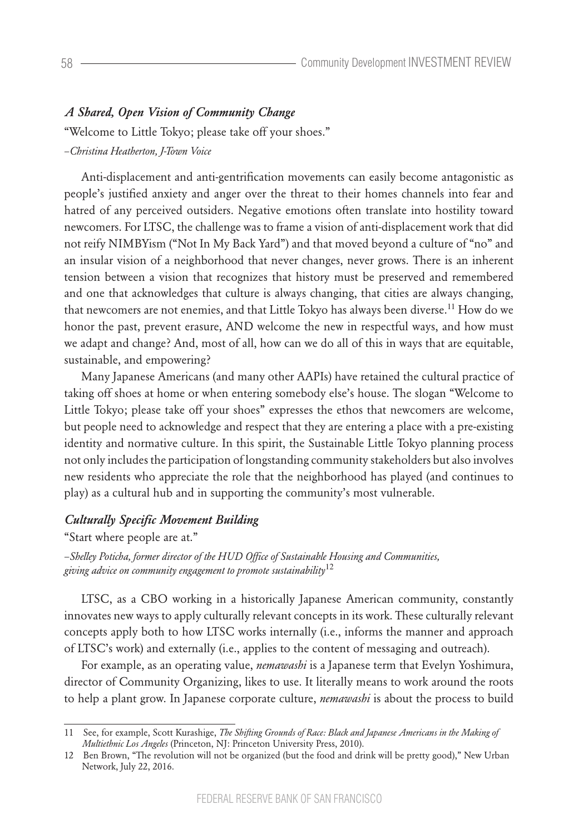## *A Shared, Open Vision of Community Change*

"Welcome to Little Tokyo; please take off your shoes." *–Christina Heatherton, J-Town Voice*

Anti-displacement and anti-gentrification movements can easily become antagonistic as people's justified anxiety and anger over the threat to their homes channels into fear and hatred of any perceived outsiders. Negative emotions often translate into hostility toward newcomers. For LTSC, the challenge was to frame a vision of anti-displacement work that did not reify NIMBYism ("Not In My Back Yard") and that moved beyond a culture of "no" and an insular vision of a neighborhood that never changes, never grows. There is an inherent tension between a vision that recognizes that history must be preserved and remembered and one that acknowledges that culture is always changing, that cities are always changing, that newcomers are not enemies, and that Little Tokyo has always been diverse.<sup>11</sup> How do we honor the past, prevent erasure, AND welcome the new in respectful ways, and how must we adapt and change? And, most of all, how can we do all of this in ways that are equitable, sustainable, and empowering?

Many Japanese Americans (and many other AAPIs) have retained the cultural practice of taking off shoes at home or when entering somebody else's house. The slogan "Welcome to Little Tokyo; please take off your shoes" expresses the ethos that newcomers are welcome, but people need to acknowledge and respect that they are entering a place with a pre-existing identity and normative culture. In this spirit, the Sustainable Little Tokyo planning process not only includes the participation of longstanding community stakeholders but also involves new residents who appreciate the role that the neighborhood has played (and continues to play) as a cultural hub and in supporting the community's most vulnerable.

## *Culturally Specific Movement Building*

"Start where people are at."

*–Shelley Poticha, former director of the HUD Office of Sustainable Housing and Communities, giving advice on community engagement to promote sustainability*<sup>12</sup>

LTSC, as a CBO working in a historically Japanese American community, constantly innovates new ways to apply culturally relevant concepts in its work. These culturally relevant concepts apply both to how LTSC works internally (i.e., informs the manner and approach of LTSC's work) and externally (i.e., applies to the content of messaging and outreach).

For example, as an operating value, *nemawashi* is a Japanese term that Evelyn Yoshimura, director of Community Organizing, likes to use. It literally means to work around the roots to help a plant grow. In Japanese corporate culture, *nemawashi* is about the process to build

<sup>11</sup> See, for example, Scott Kurashige, *The Shifting Grounds of Race: Black and Japanese Americans in the Making of Multiethnic Los Angeles* (Princeton, NJ: Princeton University Press, 2010).

<sup>12</sup> Ben Brown, "The revolution will not be organized (but the food and drink will be pretty good)," New Urban Network, July 22, 2016.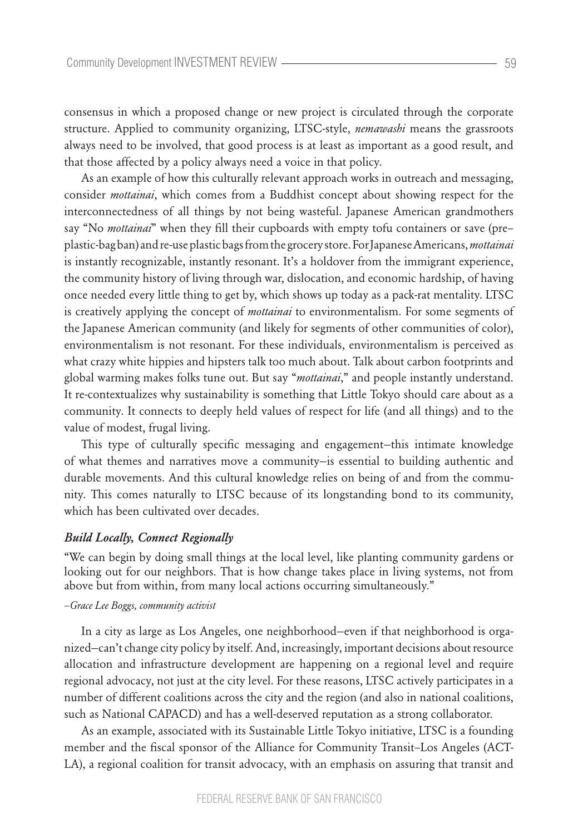consensus in which a proposed change or new project is circulated through the corporate structure. Applied to community organizing, LTSC-style, *nemawashi* means the grassroots always need to be involved, that good process is at least as important as a good result, and that those affected by a policy always need a voice in that policy.

As an example of how this culturally relevant approach works in outreach and messaging, consider *mottainai*, which comes from a Buddhist concept about showing respect for the interconnectedness of all things by not being wasteful. Japanese American grandmothers say "No *mottainai*" when they fill their cupboards with empty tofu containers or save (pre– plastic-bag ban) and re-use plastic bags from the grocery store. For Japanese Americans, *mottainai* is instantly recognizable, instantly resonant. It's a holdover from the immigrant experience, the community history of living through war, dislocation, and economic hardship, of having once needed every little thing to get by, which shows up today as a pack-rat mentality. LTSC is creatively applying the concept of *mottainai* to environmentalism. For some segments of the Japanese American community (and likely for segments of other communities of color), environmentalism is not resonant. For these individuals, environmentalism is perceived as what crazy white hippies and hipsters talk too much about. Talk about carbon footprints and global warming makes folks tune out. But say "*mottainai*," and people instantly understand. It re-contextualizes why sustainability is something that Little Tokyo should care about as a community. It connects to deeply held values of respect for life (and all things) and to the value of modest, frugal living.

This type of culturally specific messaging and engagement—this intimate knowledge of what themes and narratives move a community—is essential to building authentic and durable movements. And this cultural knowledge relies on being of and from the community. This comes naturally to LTSC because of its longstanding bond to its community, which has been cultivated over decades.

#### *Build Locally, Connect Regionally*

"We can begin by doing small things at the local level, like planting community gardens or looking out for our neighbors. That is how change takes place in living systems, not from above but from within, from many local actions occurring simultaneously."

### *–Grace Lee Boggs, community activist*

In a city as large as Los Angeles, one neighborhood—even if that neighborhood is organized—can't change city policy by itself. And, increasingly, important decisions about resource allocation and infrastructure development are happening on a regional level and require regional advocacy, not just at the city level. For these reasons, LTSC actively participates in a number of different coalitions across the city and the region (and also in national coalitions, such as National CAPACD) and has a well-deserved reputation as a strong collaborator.

As an example, associated with its Sustainable Little Tokyo initiative, LTSC is a founding member and the fiscal sponsor of the Alliance for Community Transit–Los Angeles (ACT-LA), a regional coalition for transit advocacy, with an emphasis on assuring that transit and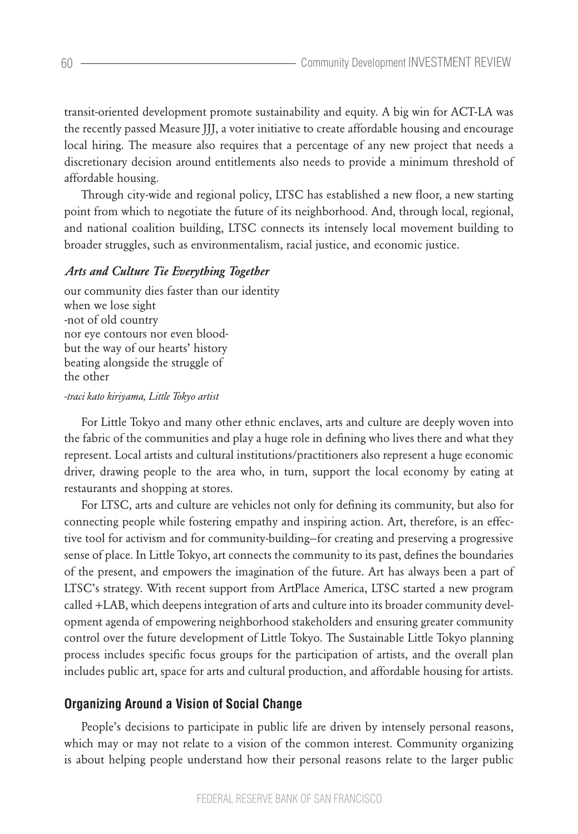transit-oriented development promote sustainability and equity. A big win for ACT-LA was the recently passed Measure JJJ, a voter initiative to create affordable housing and encourage local hiring. The measure also requires that a percentage of any new project that needs a discretionary decision around entitlements also needs to provide a minimum threshold of affordable housing.

Through city-wide and regional policy, LTSC has established a new floor, a new starting point from which to negotiate the future of its neighborhood. And, through local, regional, and national coalition building, LTSC connects its intensely local movement building to broader struggles, such as environmentalism, racial justice, and economic justice.

## *Arts and Culture Tie Everything Together*

our community dies faster than our identity when we lose sight -not of old country nor eye contours nor even bloodbut the way of our hearts' history beating alongside the struggle of the other

### *-traci kato kiriyama, Little Tokyo artist*

For Little Tokyo and many other ethnic enclaves, arts and culture are deeply woven into the fabric of the communities and play a huge role in defining who lives there and what they represent. Local artists and cultural institutions/practitioners also represent a huge economic driver, drawing people to the area who, in turn, support the local economy by eating at restaurants and shopping at stores.

For LTSC, arts and culture are vehicles not only for defining its community, but also for connecting people while fostering empathy and inspiring action. Art, therefore, is an effective tool for activism and for community-building—for creating and preserving a progressive sense of place. In Little Tokyo, art connects the community to its past, defines the boundaries of the present, and empowers the imagination of the future. Art has always been a part of LTSC's strategy. With recent support from ArtPlace America, LTSC started a new program called +LAB, which deepens integration of arts and culture into its broader community development agenda of empowering neighborhood stakeholders and ensuring greater community control over the future development of Little Tokyo. The Sustainable Little Tokyo planning process includes specific focus groups for the participation of artists, and the overall plan includes public art, space for arts and cultural production, and affordable housing for artists.

# **Organizing Around a Vision of Social Change**

People's decisions to participate in public life are driven by intensely personal reasons, which may or may not relate to a vision of the common interest. Community organizing is about helping people understand how their personal reasons relate to the larger public